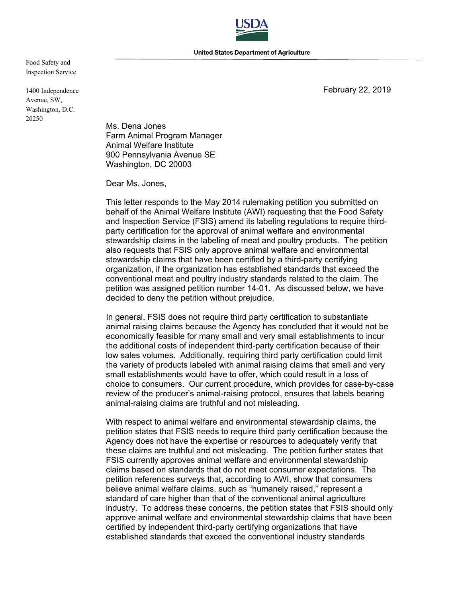

Food Safety and Inspection Service

1400 Independence Avenue, SW, Washington, D.C. 20250

February 22, 2019

Ms. Dena Jones Farm Animal Program Manager Animal Welfare Institute 900 Pennsylvania Avenue SE Washington, DC 20003

Dear Ms. Jones,

This letter responds to the May 2014 rulemaking petition you submitted on behalf of the Animal Welfare Institute (AWI) requesting that the Food Safety and Inspection Service (FSIS) amend its labeling regulations to require thirdparty certification for the approval of animal welfare and environmental stewardship claims in the labeling of meat and poultry products. The petition also requests that FSIS only approve animal welfare and environmental stewardship claims that have been certified by a third-party certifying organization, if the organization has established standards that exceed the conventional meat and poultry industry standards related to the claim. The petition was assigned petition number 14-01. As discussed below, we have decided to deny the petition without prejudice.

In general, FSIS does not require third party certification to substantiate animal raising claims because the Agency has concluded that it would not be economically feasible for many small and very small establishments to incur the additional costs of independent third-party certification because of their low sales volumes. Additionally, requiring third party certification could limit the variety of products labeled with animal raising claims that small and very small establishments would have to offer, which could result in a loss of choice to consumers. Our current procedure, which provides for case-by-case review of the producer's animal-raising protocol, ensures that labels bearing animal-raising claims are truthful and not misleading.

With respect to animal welfare and environmental stewardship claims, the petition states that FSIS needs to require third party certification because the Agency does not have the expertise or resources to adequately verify that these claims are truthful and not misleading. The petition further states that FSIS currently approves animal welfare and environmental stewardship claims based on standards that do not meet consumer expectations. The petition references surveys that, according to AWI, show that consumers believe animal welfare claims, such as "humanely raised," represent a standard of care higher than that of the conventional animal agriculture industry. To address these concerns, the petition states that FSIS should only approve animal welfare and environmental stewardship claims that have been certified by independent third-party certifying organizations that have established standards that exceed the conventional industry standards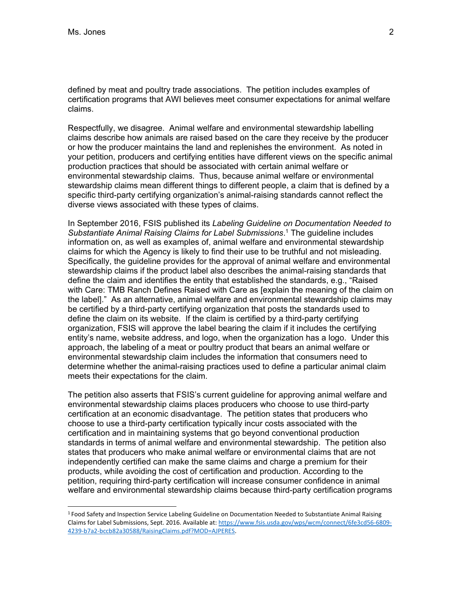-

defined by meat and poultry trade associations. The petition includes examples of certification programs that AWI believes meet consumer expectations for animal welfare claims.

Respectfully, we disagree. Animal welfare and environmental stewardship labelling claims describe how animals are raised based on the care they receive by the producer or how the producer maintains the land and replenishes the environment. As noted in your petition, producers and certifying entities have different views on the specific animal production practices that should be associated with certain animal welfare or environmental stewardship claims. Thus, because animal welfare or environmental stewardship claims mean different things to different people, a claim that is defined by a specific third-party certifying organization's animal-raising standards cannot reflect the diverse views associated with these types of claims.

In September 2016, FSIS published its *Labeling Guideline on Documentation Needed to Substantiate Animal Raising Claims for Label Submissions*. 1 The guideline includes information on, as well as examples of, animal welfare and environmental stewardship claims for which the Agency is likely to find their use to be truthful and not misleading. Specifically, the guideline provides for the approval of animal welfare and environmental stewardship claims if the product label also describes the animal-raising standards that define the claim and identifies the entity that established the standards, e.g., "Raised with Care: TMB Ranch Defines Raised with Care as [explain the meaning of the claim on the label]." As an alternative, animal welfare and environmental stewardship claims may be certified by a third-party certifying organization that posts the standards used to define the claim on its website. If the claim is certified by a third-party certifying organization, FSIS will approve the label bearing the claim if it includes the certifying entity's name, website address, and logo, when the organization has a logo. Under this approach, the labeling of a meat or poultry product that bears an animal welfare or environmental stewardship claim includes the information that consumers need to determine whether the animal-raising practices used to define a particular animal claim meets their expectations for the claim.

The petition also asserts that FSIS's current guideline for approving animal welfare and environmental stewardship claims places producers who choose to use third-party certification at an economic disadvantage. The petition states that producers who choose to use a third-party certification typically incur costs associated with the certification and in maintaining systems that go beyond conventional production standards in terms of animal welfare and environmental stewardship. The petition also states that producers who make animal welfare or environmental claims that are not independently certified can make the same claims and charge a premium for their products, while avoiding the cost of certification and production. According to the petition, requiring third-party certification will increase consumer confidence in animal welfare and environmental stewardship claims because third-party certification programs

<sup>&</sup>lt;sup>1</sup> Food Safety and Inspection Service Labeling Guideline on Documentation Needed to Substantiate Animal Raising Claims for Label Submissions, Sept. 2016. Available at: [https://www.fsis.usda.gov/wps/wcm/connect/6fe3cd56‐6809‐](https://www.fsis.usda.gov/wps/wcm/connect/6fe3cd56-6809) 4239‐b7a2‐bccb82a30588/RaisingClaims.pdf?MOD=AJPERES.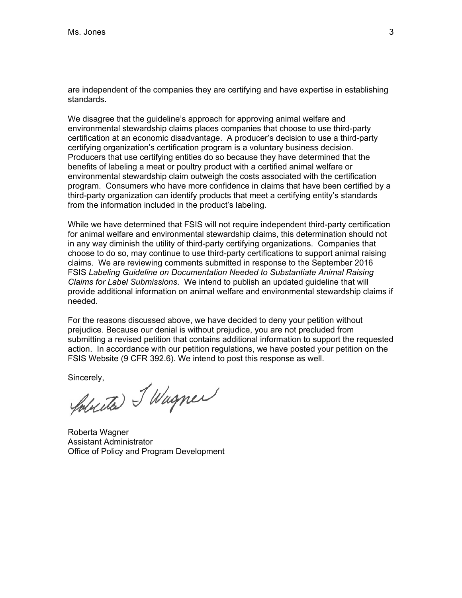are independent of the companies they are certifying and have expertise in establishing standards.

We disagree that the guideline's approach for approving animal welfare and environmental stewardship claims places companies that choose to use third-party certification at an economic disadvantage. A producer's decision to use a third-party certifying organization's certification program is a voluntary business decision. Producers that use certifying entities do so because they have determined that the benefits of labeling a meat or poultry product with a certified animal welfare or environmental stewardship claim outweigh the costs associated with the certification program. Consumers who have more confidence in claims that have been certified by a third-party organization can identify products that meet a certifying entity's standards from the information included in the product's labeling.

While we have determined that FSIS will not require independent third-party certification for animal welfare and environmental stewardship claims, this determination should not in any way diminish the utility of third-party certifying organizations. Companies that choose to do so, may continue to use third-party certifications to support animal raising claims. We are reviewing comments submitted in response to the September 2016 FSIS *Labeling Guideline on Documentation Needed to Substantiate Animal Raising Claims for Label Submissions*. We intend to publish an updated guideline that will provide additional information on animal welfare and environmental stewardship claims if needed.

For the reasons discussed above, we have decided to deny your petition without prejudice. Because our denial is without prejudice, you are not precluded from submitting a revised petition that contains additional information to support the requested action. In accordance with our petition regulations, we have posted your petition on the FSIS Website (9 CFR 392.6). We intend to post this response as well.

sincerely,<br>Yourette SWagner

Roberta Wagner Assistant Administrator Office of Policy and Program Development